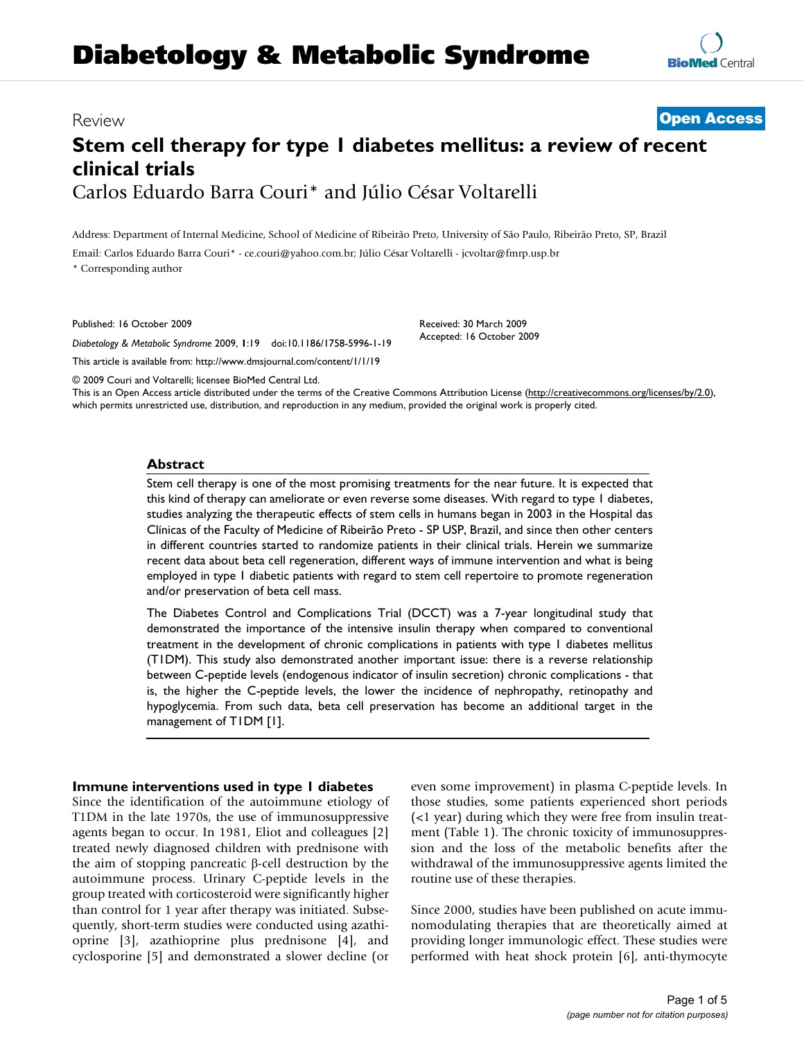# **Diabetology & Metabolic Syndrome**

### Review **[Open Access](http://www.biomedcentral.com/info/about/charter/)**

## **Stem cell therapy for type 1 diabetes mellitus: a review of recent clinical trials** Carlos Eduardo Barra Couri\* and Júlio César Voltarelli

Address: Department of Internal Medicine, School of Medicine of Ribeirão Preto, University of São Paulo, Ribeirão Preto, SP, Brazil

Email: Carlos Eduardo Barra Couri\* - ce.couri@yahoo.com.br; Júlio César Voltarelli - jcvoltar@fmrp.usp.br

\* Corresponding author

Published: 16 October 2009

*Diabetology & Metabolic Syndrome* 2009, **1**:19 doi:10.1186/1758-5996-1-19 [This article is available from: http://www.dmsjournal.com/content/1/1/19](http://www.dmsjournal.com/content/1/1/19)

Received: 30 March 2009 Accepted: 16 October 2009

© 2009 Couri and Voltarelli; licensee BioMed Central Ltd. This is an Open Access article distributed under the terms of the Creative Commons Attribution License [\(http://creativecommons.org/licenses/by/2.0\)](http://creativecommons.org/licenses/by/2.0), which permits unrestricted use, distribution, and reproduction in any medium, provided the original work is properly cited.

#### **Abstract**

Stem cell therapy is one of the most promising treatments for the near future. It is expected that this kind of therapy can ameliorate or even reverse some diseases. With regard to type 1 diabetes, studies analyzing the therapeutic effects of stem cells in humans began in 2003 in the Hospital das Clínicas of the Faculty of Medicine of Ribeirão Preto - SP USP, Brazil, and since then other centers in different countries started to randomize patients in their clinical trials. Herein we summarize recent data about beta cell regeneration, different ways of immune intervention and what is being employed in type 1 diabetic patients with regard to stem cell repertoire to promote regeneration and/or preservation of beta cell mass.

The Diabetes Control and Complications Trial (DCCT) was a 7-year longitudinal study that demonstrated the importance of the intensive insulin therapy when compared to conventional treatment in the development of chronic complications in patients with type 1 diabetes mellitus (T1DM). This study also demonstrated another important issue: there is a reverse relationship between C-peptide levels (endogenous indicator of insulin secretion) chronic complications - that is, the higher the C-peptide levels, the lower the incidence of nephropathy, retinopathy and hypoglycemia. From such data, beta cell preservation has become an additional target in the management of T1DM [\[1](#page-3-0)].

#### **Immune interventions used in type 1 diabetes**

Since the identification of the autoimmune etiology of T1DM in the late 1970s, the use of immunosuppressive agents began to occur. In 1981, Eliot and colleagues [\[2\]](#page-3-1) treated newly diagnosed children with prednisone with the aim of stopping pancreatic β-cell destruction by the autoimmune process. Urinary C-peptide levels in the group treated with corticosteroid were significantly higher than control for 1 year after therapy was initiated. Subsequently, short-term studies were conducted using azathioprine [[3\]](#page-3-2), azathioprine plus prednisone [[4\]](#page-3-3), and cyclosporine [\[5\]](#page-3-4) and demonstrated a slower decline (or even some improvement) in plasma C-peptide levels. In those studies, some patients experienced short periods (<1 year) during which they were free from insulin treatment (Table [1](#page-1-0)). The chronic toxicity of immunosuppression and the loss of the metabolic benefits after the withdrawal of the immunosuppressive agents limited the routine use of these therapies.

Since 2000, studies have been published on acute immunomodulating therapies that are theoretically aimed at providing longer immunologic effect. These studies were performed with heat shock protein [[6](#page-3-5)], anti-thymocyte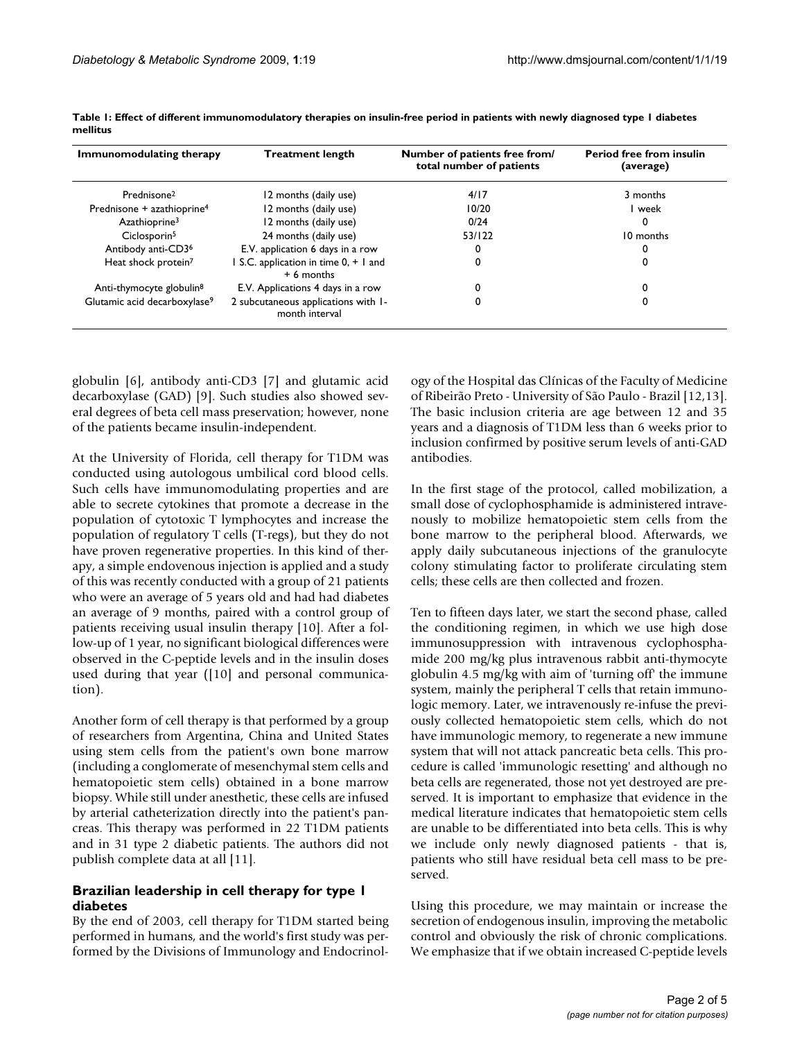| Immunomodulating therapy                 | <b>Treatment length</b>                               | Number of patients free from/<br>total number of patients | <b>Period free from insulin</b><br>(average) |
|------------------------------------------|-------------------------------------------------------|-----------------------------------------------------------|----------------------------------------------|
| Prednisone <sup>2</sup>                  | 12 months (daily use)                                 | 4/17                                                      | 3 months                                     |
| Prednisone + azathioprine <sup>4</sup>   | 12 months (daily use)                                 | 10/20                                                     | week                                         |
| Azathioprine <sup>3</sup>                | 12 months (daily use)                                 | 0/24                                                      | 0                                            |
| Ciclosporin <sup>5</sup>                 | 24 months (daily use)                                 | 53/122                                                    | 10 months                                    |
| Antibody anti-CD3 <sup>6</sup>           | E.V. application 6 days in a row                      | 0                                                         |                                              |
| Heat shock protein <sup>7</sup>          | S.C. application in time 0, + 1 and<br>$+6$ months    | 0                                                         | 0                                            |
| Anti-thymocyte globulin <sup>8</sup>     | E.V. Applications 4 days in a row                     | 0                                                         |                                              |
| Glutamic acid decarboxylase <sup>9</sup> | 2 subcutaneous applications with 1-<br>month interval | 0                                                         |                                              |

<span id="page-1-0"></span>**Table 1: Effect of different immunomodulatory therapies on insulin-free period in patients with newly diagnosed type 1 diabetes mellitus**

globulin [[6](#page-3-5)], antibody anti-CD3 [[7](#page-3-6)] and glutamic acid decarboxylase (GAD) [[9](#page-3-7)]. Such studies also showed several degrees of beta cell mass preservation; however, none of the patients became insulin-independent.

At the University of Florida, cell therapy for T1DM was conducted using autologous umbilical cord blood cells. Such cells have immunomodulating properties and are able to secrete cytokines that promote a decrease in the population of cytotoxic T lymphocytes and increase the population of regulatory T cells (T-regs), but they do not have proven regenerative properties. In this kind of therapy, a simple endovenous injection is applied and a study of this was recently conducted with a group of 21 patients who were an average of 5 years old and had had diabetes an average of 9 months, paired with a control group of patients receiving usual insulin therapy [[10\]](#page-3-8). After a follow-up of 1 year, no significant biological differences were observed in the C-peptide levels and in the insulin doses used during that year ([\[10](#page-3-8)] and personal communication).

Another form of cell therapy is that performed by a group of researchers from Argentina, China and United States using stem cells from the patient's own bone marrow (including a conglomerate of mesenchymal stem cells and hematopoietic stem cells) obtained in a bone marrow biopsy. While still under anesthetic, these cells are infused by arterial catheterization directly into the patient's pancreas. This therapy was performed in 22 T1DM patients and in 31 type 2 diabetic patients. The authors did not publish complete data at all [\[11](#page-3-9)].

#### **Brazilian leadership in cell therapy for type 1 diabetes**

By the end of 2003, cell therapy for T1DM started being performed in humans, and the world's first study was performed by the Divisions of Immunology and Endocrinology of the Hospital das Clínicas of the Faculty of Medicine of Ribeirão Preto - University of São Paulo - Brazil [[12,](#page-3-10)[13](#page-3-11)]. The basic inclusion criteria are age between 12 and 35 years and a diagnosis of T1DM less than 6 weeks prior to inclusion confirmed by positive serum levels of anti-GAD antibodies.

In the first stage of the protocol, called mobilization, a small dose of cyclophosphamide is administered intravenously to mobilize hematopoietic stem cells from the bone marrow to the peripheral blood. Afterwards, we apply daily subcutaneous injections of the granulocyte colony stimulating factor to proliferate circulating stem cells; these cells are then collected and frozen.

Ten to fifteen days later, we start the second phase, called the conditioning regimen, in which we use high dose immunosuppression with intravenous cyclophosphamide 200 mg/kg plus intravenous rabbit anti-thymocyte globulin 4.5 mg/kg with aim of 'turning off' the immune system, mainly the peripheral T cells that retain immunologic memory. Later, we intravenously re-infuse the previously collected hematopoietic stem cells, which do not have immunologic memory, to regenerate a new immune system that will not attack pancreatic beta cells. This procedure is called 'immunologic resetting' and although no beta cells are regenerated, those not yet destroyed are preserved. It is important to emphasize that evidence in the medical literature indicates that hematopoietic stem cells are unable to be differentiated into beta cells. This is why we include only newly diagnosed patients - that is, patients who still have residual beta cell mass to be preserved.

Using this procedure, we may maintain or increase the secretion of endogenous insulin, improving the metabolic control and obviously the risk of chronic complications. We emphasize that if we obtain increased C-peptide levels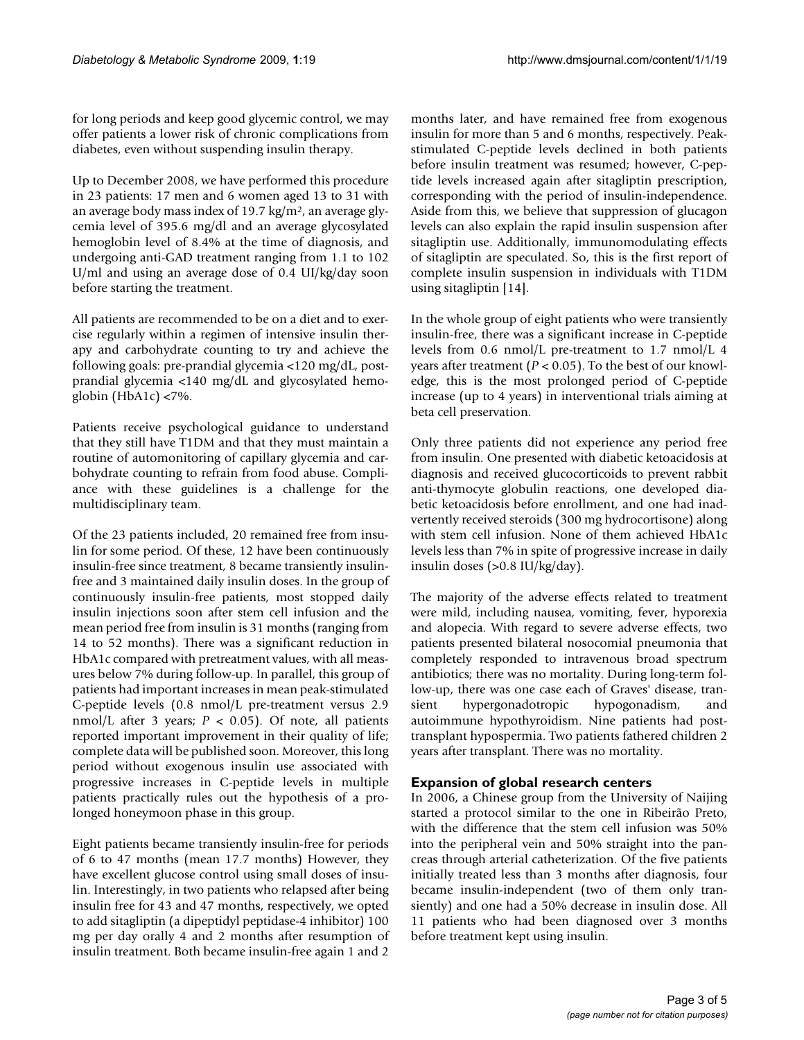for long periods and keep good glycemic control, we may offer patients a lower risk of chronic complications from diabetes, even without suspending insulin therapy.

Up to December 2008, we have performed this procedure in 23 patients: 17 men and 6 women aged 13 to 31 with an average body mass index of 19.7 kg/m2, an average glycemia level of 395.6 mg/dl and an average glycosylated hemoglobin level of 8.4% at the time of diagnosis, and undergoing anti-GAD treatment ranging from 1.1 to 102 U/ml and using an average dose of 0.4 UI/kg/day soon before starting the treatment.

All patients are recommended to be on a diet and to exercise regularly within a regimen of intensive insulin therapy and carbohydrate counting to try and achieve the following goals: pre-prandial glycemia <120 mg/dL, postprandial glycemia <140 mg/dL and glycosylated hemoglobin (HbA1c)  $\langle 7\%$ .

Patients receive psychological guidance to understand that they still have T1DM and that they must maintain a routine of automonitoring of capillary glycemia and carbohydrate counting to refrain from food abuse. Compliance with these guidelines is a challenge for the multidisciplinary team.

Of the 23 patients included, 20 remained free from insulin for some period. Of these, 12 have been continuously insulin-free since treatment, 8 became transiently insulinfree and 3 maintained daily insulin doses. In the group of continuously insulin-free patients, most stopped daily insulin injections soon after stem cell infusion and the mean period free from insulin is 31 months (ranging from 14 to 52 months). There was a significant reduction in HbA1c compared with pretreatment values, with all measures below 7% during follow-up. In parallel, this group of patients had important increases in mean peak-stimulated C-peptide levels (0.8 nmol/L pre-treatment versus 2.9 nmol/L after 3 years;  $P < 0.05$ ). Of note, all patients reported important improvement in their quality of life; complete data will be published soon. Moreover, this long period without exogenous insulin use associated with progressive increases in C-peptide levels in multiple patients practically rules out the hypothesis of a prolonged honeymoon phase in this group.

Eight patients became transiently insulin-free for periods of 6 to 47 months (mean 17.7 months) However, they have excellent glucose control using small doses of insulin. Interestingly, in two patients who relapsed after being insulin free for 43 and 47 months, respectively, we opted to add sitagliptin (a dipeptidyl peptidase-4 inhibitor) 100 mg per day orally 4 and 2 months after resumption of insulin treatment. Both became insulin-free again 1 and 2

months later, and have remained free from exogenous insulin for more than 5 and 6 months, respectively. Peakstimulated C-peptide levels declined in both patients before insulin treatment was resumed; however, C-peptide levels increased again after sitagliptin prescription, corresponding with the period of insulin-independence. Aside from this, we believe that suppression of glucagon levels can also explain the rapid insulin suspension after sitagliptin use. Additionally, immunomodulating effects of sitagliptin are speculated. So, this is the first report of complete insulin suspension in individuals with T1DM using sitagliptin [\[14](#page-4-0)].

In the whole group of eight patients who were transiently insulin-free, there was a significant increase in C-peptide levels from 0.6 nmol/L pre-treatment to 1.7 nmol/L 4 years after treatment (*P* < 0.05). To the best of our knowledge, this is the most prolonged period of C-peptide increase (up to 4 years) in interventional trials aiming at beta cell preservation.

Only three patients did not experience any period free from insulin. One presented with diabetic ketoacidosis at diagnosis and received glucocorticoids to prevent rabbit anti-thymocyte globulin reactions, one developed diabetic ketoacidosis before enrollment, and one had inadvertently received steroids (300 mg hydrocortisone) along with stem cell infusion. None of them achieved HbA1c levels less than 7% in spite of progressive increase in daily insulin doses (>0.8 IU/kg/day).

The majority of the adverse effects related to treatment were mild, including nausea, vomiting, fever, hyporexia and alopecia. With regard to severe adverse effects, two patients presented bilateral nosocomial pneumonia that completely responded to intravenous broad spectrum antibiotics; there was no mortality. During long-term follow-up, there was one case each of Graves' disease, transient hypergonadotropic hypogonadism, and autoimmune hypothyroidism. Nine patients had posttransplant hypospermia. Two patients fathered children 2 years after transplant. There was no mortality.

#### **Expansion of global research centers**

In 2006, a Chinese group from the University of Naijing started a protocol similar to the one in Ribeirão Preto, with the difference that the stem cell infusion was 50% into the peripheral vein and 50% straight into the pancreas through arterial catheterization. Of the five patients initially treated less than 3 months after diagnosis, four became insulin-independent (two of them only transiently) and one had a 50% decrease in insulin dose. All 11 patients who had been diagnosed over 3 months before treatment kept using insulin.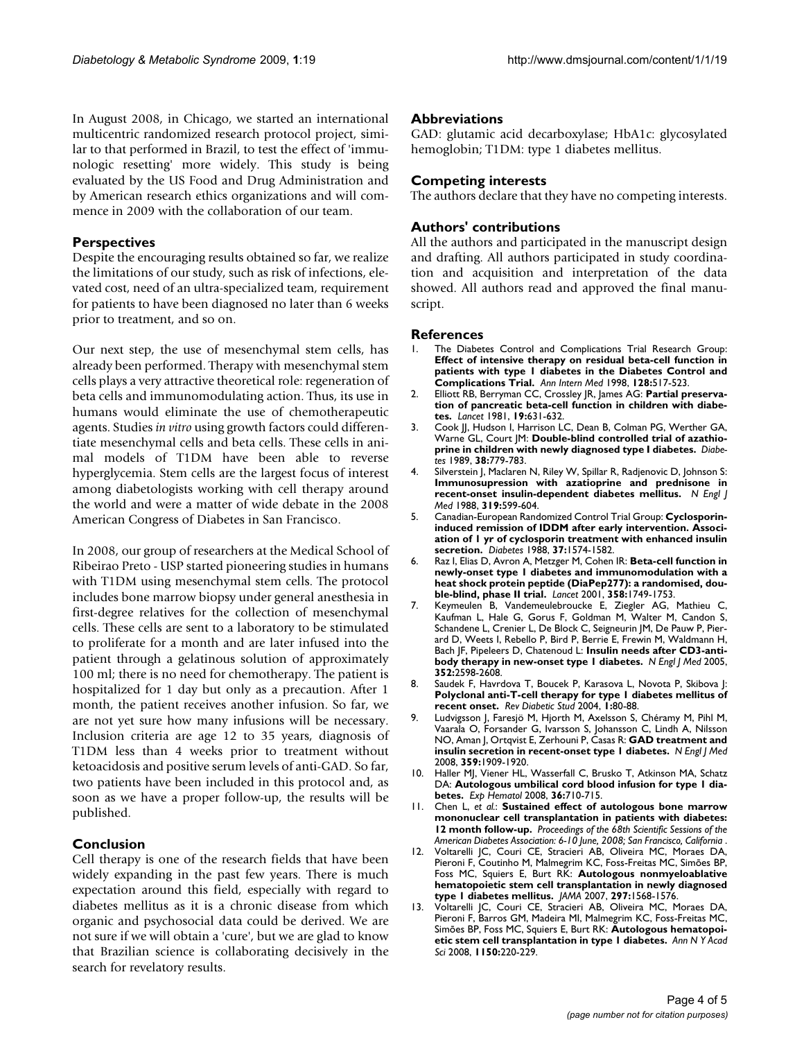In August 2008, in Chicago, we started an international multicentric randomized research protocol project, similar to that performed in Brazil, to test the effect of 'immunologic resetting' more widely. This study is being evaluated by the US Food and Drug Administration and by American research ethics organizations and will commence in 2009 with the collaboration of our team.

#### **Perspectives**

Despite the encouraging results obtained so far, we realize the limitations of our study, such as risk of infections, elevated cost, need of an ultra-specialized team, requirement for patients to have been diagnosed no later than 6 weeks prior to treatment, and so on.

Our next step, the use of mesenchymal stem cells, has already been performed. Therapy with mesenchymal stem cells plays a very attractive theoretical role: regeneration of beta cells and immunomodulating action. Thus, its use in humans would eliminate the use of chemotherapeutic agents. Studies *in vitro* using growth factors could differentiate mesenchymal cells and beta cells. These cells in animal models of T1DM have been able to reverse hyperglycemia. Stem cells are the largest focus of interest among diabetologists working with cell therapy around the world and were a matter of wide debate in the 2008 American Congress of Diabetes in San Francisco.

In 2008, our group of researchers at the Medical School of Ribeirao Preto - USP started pioneering studies in humans with T1DM using mesenchymal stem cells. The protocol includes bone marrow biopsy under general anesthesia in first-degree relatives for the collection of mesenchymal cells. These cells are sent to a laboratory to be stimulated to proliferate for a month and are later infused into the patient through a gelatinous solution of approximately 100 ml; there is no need for chemotherapy. The patient is hospitalized for 1 day but only as a precaution. After 1 month, the patient receives another infusion. So far, we are not yet sure how many infusions will be necessary. Inclusion criteria are age 12 to 35 years, diagnosis of T1DM less than 4 weeks prior to treatment without ketoacidosis and positive serum levels of anti-GAD. So far, two patients have been included in this protocol and, as soon as we have a proper follow-up, the results will be published.

#### **Conclusion**

Cell therapy is one of the research fields that have been widely expanding in the past few years. There is much expectation around this field, especially with regard to diabetes mellitus as it is a chronic disease from which organic and psychosocial data could be derived. We are not sure if we will obtain a 'cure', but we are glad to know that Brazilian science is collaborating decisively in the search for revelatory results.

#### **Abbreviations**

GAD: glutamic acid decarboxylase; HbA1c: glycosylated hemoglobin; T1DM: type 1 diabetes mellitus.

#### **Competing interests**

The authors declare that they have no competing interests.

#### **Authors' contributions**

All the authors and participated in the manuscript design and drafting. All authors participated in study coordination and acquisition and interpretation of the data showed. All authors read and approved the final manuscript.

#### **References**

- <span id="page-3-0"></span>The Diabetes Control and Complications Trial Research Group: **[Effect of intensive therapy on residual beta-cell function in](http://www.ncbi.nlm.nih.gov/entrez/query.fcgi?cmd=Retrieve&db=PubMed&dopt=Abstract&list_uids=9518395) patients with type 1 diabetes in the Diabetes Control and [Complications Trial.](http://www.ncbi.nlm.nih.gov/entrez/query.fcgi?cmd=Retrieve&db=PubMed&dopt=Abstract&list_uids=9518395)** *Ann Intern Med* 1998, **128:**517-523.
- <span id="page-3-1"></span>2. Elliott RB, Berryman CC, Crossley JR, James AG: **Partial preservation of pancreatic beta-cell function in children with diabetes.** *Lancet* 1981, **19:**631-632.
- <span id="page-3-2"></span>3. Cook JJ, Hudson I, Harrison LC, Dean B, Colman PG, Werther GA, Warne GL, Court JM: **[Double-blind controlled trial of azathio](http://www.ncbi.nlm.nih.gov/entrez/query.fcgi?cmd=Retrieve&db=PubMed&dopt=Abstract&list_uids=2656346)[prine in children with newly diagnosed type I diabetes.](http://www.ncbi.nlm.nih.gov/entrez/query.fcgi?cmd=Retrieve&db=PubMed&dopt=Abstract&list_uids=2656346)** *Diabetes* 1989, **38:**779-783.
- <span id="page-3-3"></span>4. Silverstein J, Maclaren N, Riley W, Spillar R, Radjenovic D, Johnson S: **[Immunosupression with azatioprine and prednisone in](http://www.ncbi.nlm.nih.gov/entrez/query.fcgi?cmd=Retrieve&db=PubMed&dopt=Abstract&list_uids=3045545) [recent-onset insulin-dependent diabetes mellitus.](http://www.ncbi.nlm.nih.gov/entrez/query.fcgi?cmd=Retrieve&db=PubMed&dopt=Abstract&list_uids=3045545)** *N Engl J Med* 1988, **319:**599-604.
- <span id="page-3-4"></span>5. Canadian-European Randomized Control Trial Group: **[Cyclosporin](http://www.ncbi.nlm.nih.gov/entrez/query.fcgi?cmd=Retrieve&db=PubMed&dopt=Abstract&list_uids=2903105)[induced remission of IDDM after early intervention. Associ](http://www.ncbi.nlm.nih.gov/entrez/query.fcgi?cmd=Retrieve&db=PubMed&dopt=Abstract&list_uids=2903105)ation of 1 yr of cyclosporin treatment with enhanced insulin [secretion.](http://www.ncbi.nlm.nih.gov/entrez/query.fcgi?cmd=Retrieve&db=PubMed&dopt=Abstract&list_uids=2903105)** *Diabetes* 1988, **37:**1574-1582.
- <span id="page-3-5"></span>6. Raz I, Elias D, Avron A, Metzger M, Cohen IR: **[Beta-cell function in](http://www.ncbi.nlm.nih.gov/entrez/query.fcgi?cmd=Retrieve&db=PubMed&dopt=Abstract&list_uids=11734230) [newly-onset type 1 diabetes and immunomodulation with a](http://www.ncbi.nlm.nih.gov/entrez/query.fcgi?cmd=Retrieve&db=PubMed&dopt=Abstract&list_uids=11734230) heat shock protein peptide (DiaPep277): a randomised, dou[ble-blind, phase II trial.](http://www.ncbi.nlm.nih.gov/entrez/query.fcgi?cmd=Retrieve&db=PubMed&dopt=Abstract&list_uids=11734230)** *Lancet* 2001, **358:**1749-1753.
- <span id="page-3-6"></span>7. Keymeulen B, Vandemeulebroucke E, Ziegler AG, Mathieu C, Kaufman L, Hale G, Gorus F, Goldman M, Walter M, Candon S, Schandene L, Crenier L, De Block C, Seigneurin JM, De Pauw P, Pierard D, Weets I, Rebello P, Bird P, Berrie E, Frewin M, Waldmann H, Bach JF, Pipeleers D, Chatenoud L: **[Insulin needs after CD3-anti](http://www.ncbi.nlm.nih.gov/entrez/query.fcgi?cmd=Retrieve&db=PubMed&dopt=Abstract&list_uids=15972866)[body therapy in new-onset type 1 diabetes.](http://www.ncbi.nlm.nih.gov/entrez/query.fcgi?cmd=Retrieve&db=PubMed&dopt=Abstract&list_uids=15972866)** *N Engl J Med* 2005, **352:**2598-2608.
- 8. Saudek F, Havrdova T, Boucek P, Karasova L, Novota P, Skibova J: **[Polyclonal anti-T-cell therapy for type 1 diabetes mellitus of](http://www.ncbi.nlm.nih.gov/entrez/query.fcgi?cmd=Retrieve&db=PubMed&dopt=Abstract&list_uids=17491669) [recent onset.](http://www.ncbi.nlm.nih.gov/entrez/query.fcgi?cmd=Retrieve&db=PubMed&dopt=Abstract&list_uids=17491669)** *Rev Diabetic Stud* 2004, **1:**80-88.
- <span id="page-3-7"></span>9. Ludvigsson J, Faresjö M, Hjorth M, Axelsson S, Chéramy M, Pihl M, Vaarala O, Forsander G, Ivarsson S, Johansson C, Lindh A, Nilsson NO, Aman J, Ortqvist E, Zerhouni P, Casas R: **[GAD treatment and](http://www.ncbi.nlm.nih.gov/entrez/query.fcgi?cmd=Retrieve&db=PubMed&dopt=Abstract&list_uids=18843118) [insulin secretion in recent-onset type 1 diabetes.](http://www.ncbi.nlm.nih.gov/entrez/query.fcgi?cmd=Retrieve&db=PubMed&dopt=Abstract&list_uids=18843118)** *N Engl J Med* 2008, **359:**1909-1920.
- <span id="page-3-8"></span>10. Haller MJ, Viener HL, Wasserfall C, Brusko T, Atkinson MA, Schatz DA: **[Autologous umbilical cord blood infusion for type 1 dia](http://www.ncbi.nlm.nih.gov/entrez/query.fcgi?cmd=Retrieve&db=PubMed&dopt=Abstract&list_uids=18358588)[betes.](http://www.ncbi.nlm.nih.gov/entrez/query.fcgi?cmd=Retrieve&db=PubMed&dopt=Abstract&list_uids=18358588)** *Exp Hematol* 2008, **36:**710-715.
- <span id="page-3-9"></span>11. Chen L, *et al.*: **Sustained effect of autologous bone marrow mononuclear cell transplantation in patients with diabetes: 12 month follow-up.** *Proceedings of the 68th Scientific Sessions of the American Diabetes Association: 6-10 June, 2008; San Francisco, California* .
- <span id="page-3-10"></span>12. Voltarelli JC, Couri CE, Stracieri AB, Oliveira MC, Moraes DA, Pieroni F, Coutinho M, Malmegrim KC, Foss-Freitas MC, Simões BP, Foss MC, Squiers E, Burt RK: **[Autologous nonmyeloablative](http://www.ncbi.nlm.nih.gov/entrez/query.fcgi?cmd=Retrieve&db=PubMed&dopt=Abstract&list_uids=17426276) [hematopoietic stem cell transplantation in newly diagnosed](http://www.ncbi.nlm.nih.gov/entrez/query.fcgi?cmd=Retrieve&db=PubMed&dopt=Abstract&list_uids=17426276) [type 1 diabetes mellitus.](http://www.ncbi.nlm.nih.gov/entrez/query.fcgi?cmd=Retrieve&db=PubMed&dopt=Abstract&list_uids=17426276)** *JAMA* 2007, **297:**1568-1576.
- <span id="page-3-11"></span>13. Voltarelli JC, Couri CE, Stracieri AB, Oliveira MC, Moraes DA, Pieroni F, Barros GM, Madeira MI, Malmegrim KC, Foss-Freitas MC, Simões BP, Foss MC, Squiers E, Burt RK: **[Autologous hematopoi](http://www.ncbi.nlm.nih.gov/entrez/query.fcgi?cmd=Retrieve&db=PubMed&dopt=Abstract&list_uids=19120300)[etic stem cell transplantation in type 1 diabetes.](http://www.ncbi.nlm.nih.gov/entrez/query.fcgi?cmd=Retrieve&db=PubMed&dopt=Abstract&list_uids=19120300)** *Ann N Y Acad Sci* 2008, **1150:**220-229.